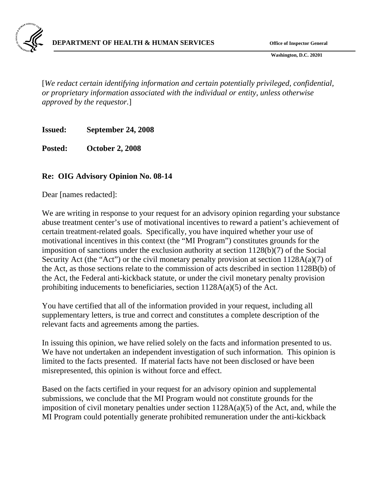

 **Washington, D.C. 20201** 

[*We redact certain identifying information and certain potentially privileged, confidential, or proprietary information associated with the individual or entity, unless otherwise approved by the requestor.*]

**Issued: September 24, 2008** 

**Posted: October 2, 2008** 

## **Re: OIG Advisory Opinion No. 08-14**

Dear [names redacted]:

We are writing in response to your request for an advisory opinion regarding your substance abuse treatment center's use of motivational incentives to reward a patient's achievement of certain treatment-related goals. Specifically, you have inquired whether your use of motivational incentives in this context (the "MI Program") constitutes grounds for the imposition of sanctions under the exclusion authority at section 1128(b)(7) of the Social Security Act (the "Act") or the civil monetary penalty provision at section 1128A(a)(7) of the Act, as those sections relate to the commission of acts described in section 1128B(b) of the Act, the Federal anti-kickback statute, or under the civil monetary penalty provision prohibiting inducements to beneficiaries, section  $1128A(a)(5)$  of the Act.

You have certified that all of the information provided in your request, including all supplementary letters, is true and correct and constitutes a complete description of the relevant facts and agreements among the parties.

In issuing this opinion, we have relied solely on the facts and information presented to us. We have not undertaken an independent investigation of such information. This opinion is limited to the facts presented. If material facts have not been disclosed or have been misrepresented, this opinion is without force and effect.

Based on the facts certified in your request for an advisory opinion and supplemental submissions, we conclude that the MI Program would not constitute grounds for the imposition of civil monetary penalties under section 1128A(a)(5) of the Act, and, while the MI Program could potentially generate prohibited remuneration under the anti-kickback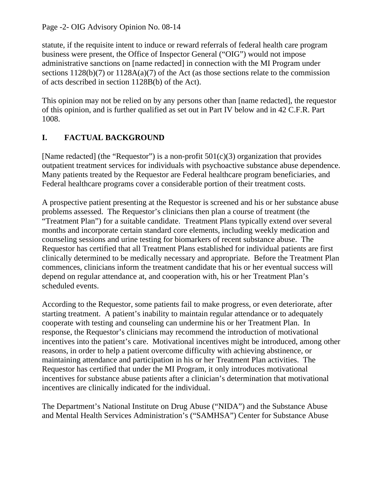Page -2- OIG Advisory Opinion No. 08-14

statute, if the requisite intent to induce or reward referrals of federal health care program business were present, the Office of Inspector General ("OIG") would not impose administrative sanctions on [name redacted] in connection with the MI Program under sections  $1128(b)(7)$  or  $1128A(a)(7)$  of the Act (as those sections relate to the commission of acts described in section 1128B(b) of the Act).

This opinion may not be relied on by any persons other than [name redacted], the requestor of this opinion, and is further qualified as set out in Part IV below and in 42 C.F.R. Part 1008.

# **I. FACTUAL BACKGROUND**

[Name redacted] (the "Requestor") is a non-profit  $501(c)(3)$  organization that provides outpatient treatment services for individuals with psychoactive substance abuse dependence. Many patients treated by the Requestor are Federal healthcare program beneficiaries, and Federal healthcare programs cover a considerable portion of their treatment costs.

A prospective patient presenting at the Requestor is screened and his or her substance abuse problems assessed. The Requestor's clinicians then plan a course of treatment (the "Treatment Plan") for a suitable candidate. Treatment Plans typically extend over several months and incorporate certain standard core elements, including weekly medication and counseling sessions and urine testing for biomarkers of recent substance abuse. The Requestor has certified that all Treatment Plans established for individual patients are first clinically determined to be medically necessary and appropriate. Before the Treatment Plan commences, clinicians inform the treatment candidate that his or her eventual success will depend on regular attendance at, and cooperation with, his or her Treatment Plan's scheduled events.

According to the Requestor, some patients fail to make progress, or even deteriorate, after starting treatment. A patient's inability to maintain regular attendance or to adequately cooperate with testing and counseling can undermine his or her Treatment Plan. In response, the Requestor's clinicians may recommend the introduction of motivational incentives into the patient's care. Motivational incentives might be introduced, among other reasons, in order to help a patient overcome difficulty with achieving abstinence, or maintaining attendance and participation in his or her Treatment Plan activities. The Requestor has certified that under the MI Program, it only introduces motivational incentives for substance abuse patients after a clinician's determination that motivational incentives are clinically indicated for the individual.

The Department's National Institute on Drug Abuse ("NIDA") and the Substance Abuse and Mental Health Services Administration's ("SAMHSA") Center for Substance Abuse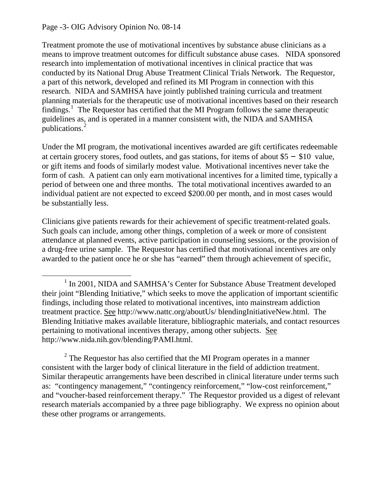#### Page -3- OIG Advisory Opinion No. 08-14

 $\overline{a}$ 

Treatment promote the use of motivational incentives by substance abuse clinicians as a means to improve treatment outcomes for difficult substance abuse cases. NIDA sponsored research into implementation of motivational incentives in clinical practice that was conducted by its National Drug Abuse Treatment Clinical Trials Network. The Requestor, a part of this network, developed and refined its MI Program in connection with this research. NIDA and SAMHSA have jointly published training curricula and treatment planning materials for the therapeutic use of motivational incentives based on their research  $\tilde{f}$ indings.<sup>[1](#page-2-0)</sup> The Requestor has certified that the MI Program follows the same therapeutic guidelines as, and is operated in a manner consistent with, the NIDA and SAMHSA publications.<sup>[2](#page-2-1)</sup>

Under the MI program, the motivational incentives awarded are gift certificates redeemable at certain grocery stores, food outlets, and gas stations, for items of about \$5 − \$10 value, or gift items and foods of similarly modest value. Motivational incentives never take the form of cash. A patient can only earn motivational incentives for a limited time, typically a period of between one and three months. The total motivational incentives awarded to an individual patient are not expected to exceed \$200.00 per month, and in most cases would be substantially less.

Clinicians give patients rewards for their achievement of specific treatment-related goals. Such goals can include, among other things, completion of a week or more of consistent attendance at planned events, active participation in counseling sessions, or the provision of a drug-free urine sample. The Requestor has certified that motivational incentives are only awarded to the patient once he or she has "earned" them through achievement of specific,

<span id="page-2-1"></span> $2^2$  The Requestor has also certified that the MI Program operates in a manner consistent with the larger body of clinical literature in the field of addiction treatment. Similar therapeutic arrangements have been described in clinical literature under terms such as: "contingency management," "contingency reinforcement," "low-cost reinforcement," and "voucher-based reinforcement therapy." The Requestor provided us a digest of relevant research materials accompanied by a three page bibliography. We express no opinion about these other programs or arrangements.

<span id="page-2-0"></span><sup>&</sup>lt;sup>1</sup> In 2001, NIDA and SAMHSA's Center for Substance Abuse Treatment developed their joint "Blending Initiative," which seeks to move the application of important scientific findings, including those related to motivational incentives, into mainstream addiction treatment practice. See http://www.nattc.org/aboutUs/ blendingInitiativeNew.html. The Blending Initiative makes available literature, bibliographic materials, and contact resources pertaining to motivational incentives therapy, among other subjects. See http://www.nida.nih.gov/blending/PAMI.html.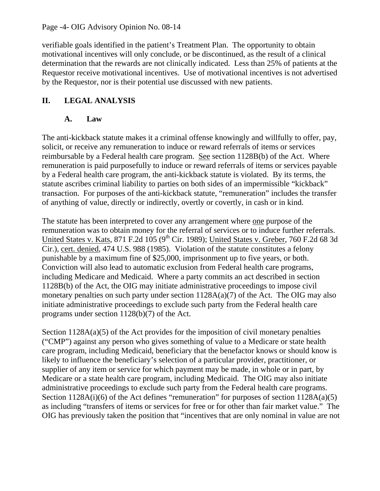Page -4- OIG Advisory Opinion No. 08-14

verifiable goals identified in the patient's Treatment Plan. The opportunity to obtain motivational incentives will only conclude, or be discontinued, as the result of a clinical determination that the rewards are not clinically indicated. Less than 25% of patients at the Requestor receive motivational incentives. Use of motivational incentives is not advertised by the Requestor, nor is their potential use discussed with new patients.

## **II. LEGAL ANALYSIS**

### **A. Law**

The anti-kickback statute makes it a criminal offense knowingly and willfully to offer, pay, solicit, or receive any remuneration to induce or reward referrals of items or services reimbursable by a Federal health care program. See section 1128B(b) of the Act. Where remuneration is paid purposefully to induce or reward referrals of items or services payable by a Federal health care program, the anti-kickback statute is violated. By its terms, the statute ascribes criminal liability to parties on both sides of an impermissible "kickback" transaction. For purposes of the anti-kickback statute, "remuneration" includes the transfer of anything of value, directly or indirectly, overtly or covertly, in cash or in kind.

The statute has been interpreted to cover any arrangement where one purpose of the remuneration was to obtain money for the referral of services or to induce further referrals. United States v. Kats, 871 F.2d  $105$  (9<sup>th</sup> Cir. 1989); United States v. Greber, 760 F.2d 68 3d Cir.), cert. denied, 474 U.S. 988 (1985). Violation of the statute constitutes a felony punishable by a maximum fine of \$25,000, imprisonment up to five years, or both. Conviction will also lead to automatic exclusion from Federal health care programs, including Medicare and Medicaid. Where a party commits an act described in section 1128B(b) of the Act, the OIG may initiate administrative proceedings to impose civil monetary penalties on such party under section  $1128A(a)(7)$  of the Act. The OIG may also initiate administrative proceedings to exclude such party from the Federal health care programs under section 1128(b)(7) of the Act.

Section  $1128A(a)(5)$  of the Act provides for the imposition of civil monetary penalties ("CMP") against any person who gives something of value to a Medicare or state health care program, including Medicaid, beneficiary that the benefactor knows or should know is likely to influence the beneficiary's selection of a particular provider, practitioner, or supplier of any item or service for which payment may be made, in whole or in part, by Medicare or a state health care program, including Medicaid. The OIG may also initiate administrative proceedings to exclude such party from the Federal health care programs. Section 1128A(i)(6) of the Act defines "remuneration" for purposes of section 1128A(a)(5) as including "transfers of items or services for free or for other than fair market value." The OIG has previously taken the position that "incentives that are only nominal in value are not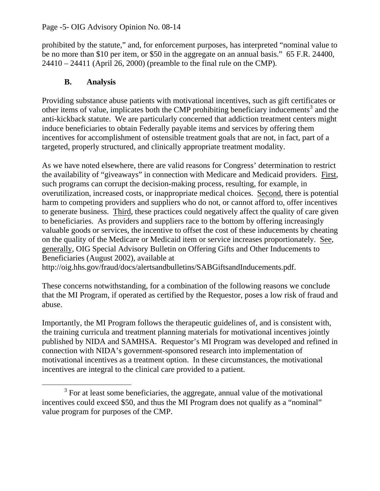#### Page -5- OIG Advisory Opinion No. 08-14

prohibited by the statute," and, for enforcement purposes, has interpreted "nominal value to be no more than \$10 per item, or \$50 in the aggregate on an annual basis." 65 F.R. 24400, 24410 – 24411 (April 26, 2000) (preamble to the final rule on the CMP).

### **B. Analysis**

Providing substance abuse patients with motivational incentives, such as gift certificates or other items of value, implicates both the CMP prohibiting beneficiary inducements<sup>[3](#page-4-0)</sup> and the anti-kickback statute. We are particularly concerned that addiction treatment centers might induce beneficiaries to obtain Federally payable items and services by offering them incentives for accomplishment of ostensible treatment goals that are not, in fact, part of a targeted, properly structured, and clinically appropriate treatment modality.

As we have noted elsewhere, there are valid reasons for Congress' determination to restrict the availability of "giveaways" in connection with Medicare and Medicaid providers. First, such programs can corrupt the decision-making process, resulting, for example, in overutilization, increased costs, or inappropriate medical choices. Second, there is potential harm to competing providers and suppliers who do not, or cannot afford to, offer incentives to generate business. Third, these practices could negatively affect the quality of care given to beneficiaries. As providers and suppliers race to the bottom by offering increasingly valuable goods or services, the incentive to offset the cost of these inducements by cheating on the quality of the Medicare or Medicaid item or service increases proportionately. See, generally, OIG Special Advisory Bulletin on Offering Gifts and Other Inducements to Beneficiaries (August 2002), available at

http://oig.hhs.gov/fraud/docs/alertsandbulletins/SABGiftsandInducements.pdf.

These concerns notwithstanding, for a combination of the following reasons we conclude that the MI Program, if operated as certified by the Requestor, poses a low risk of fraud and abuse.

Importantly, the MI Program follows the therapeutic guidelines of, and is consistent with, the training curricula and treatment planning materials for motivational incentives jointly published by NIDA and SAMHSA. Requestor's MI Program was developed and refined in connection with NIDA's government-sponsored research into implementation of motivational incentives as a treatment option. In these circumstances, the motivational incentives are integral to the clinical care provided to a patient.

<span id="page-4-0"></span> $\frac{1}{3}$  $3$  For at least some beneficiaries, the aggregate, annual value of the motivational incentives could exceed \$50, and thus the MI Program does not qualify as a "nominal" value program for purposes of the CMP.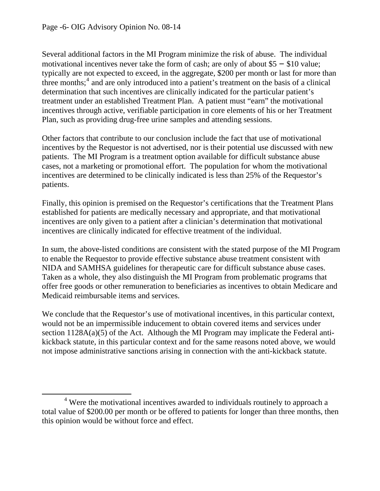$\overline{a}$ 

Several additional factors in the MI Program minimize the risk of abuse. The individual motivational incentives never take the form of cash; are only of about \$5 − \$10 value; typically are not expected to exceed, in the aggregate, \$200 per month or last for more than three months; $<sup>4</sup>$  $<sup>4</sup>$  $<sup>4</sup>$  and are only introduced into a patient's treatment on the basis of a clinical</sup> determination that such incentives are clinically indicated for the particular patient's treatment under an established Treatment Plan. A patient must "earn" the motivational incentives through active, verifiable participation in core elements of his or her Treatment Plan, such as providing drug-free urine samples and attending sessions.

Other factors that contribute to our conclusion include the fact that use of motivational incentives by the Requestor is not advertised, nor is their potential use discussed with new patients. The MI Program is a treatment option available for difficult substance abuse cases, not a marketing or promotional effort. The population for whom the motivational incentives are determined to be clinically indicated is less than 25% of the Requestor's patients.

Finally, this opinion is premised on the Requestor's certifications that the Treatment Plans established for patients are medically necessary and appropriate, and that motivational incentives are only given to a patient after a clinician's determination that motivational incentives are clinically indicated for effective treatment of the individual.

In sum, the above-listed conditions are consistent with the stated purpose of the MI Program to enable the Requestor to provide effective substance abuse treatment consistent with NIDA and SAMHSA guidelines for therapeutic care for difficult substance abuse cases. Taken as a whole, they also distinguish the MI Program from problematic programs that offer free goods or other remuneration to beneficiaries as incentives to obtain Medicare and Medicaid reimbursable items and services.

We conclude that the Requestor's use of motivational incentives, in this particular context, would not be an impermissible inducement to obtain covered items and services under section  $1128A(a)(5)$  of the Act. Although the MI Program may implicate the Federal antikickback statute, in this particular context and for the same reasons noted above, we would not impose administrative sanctions arising in connection with the anti-kickback statute.

<span id="page-5-0"></span><sup>&</sup>lt;sup>4</sup> Were the motivational incentives awarded to individuals routinely to approach a total value of \$200.00 per month or be offered to patients for longer than three months, then this opinion would be without force and effect.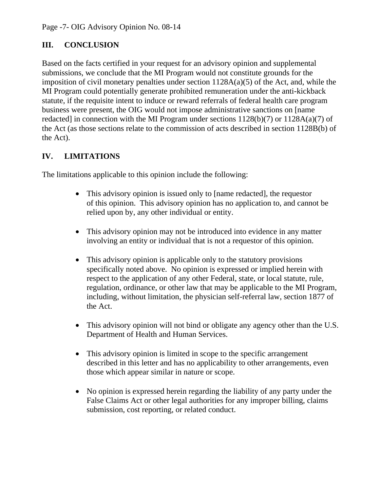# **III. CONCLUSION**

Based on the facts certified in your request for an advisory opinion and supplemental submissions, we conclude that the MI Program would not constitute grounds for the imposition of civil monetary penalties under section 1128A(a)(5) of the Act, and, while the MI Program could potentially generate prohibited remuneration under the anti-kickback statute, if the requisite intent to induce or reward referrals of federal health care program business were present, the OIG would not impose administrative sanctions on [name redacted] in connection with the MI Program under sections  $1128(b)(7)$  or  $1128A(a)(7)$  of the Act (as those sections relate to the commission of acts described in section 1128B(b) of the Act).

# **IV. LIMITATIONS**

The limitations applicable to this opinion include the following:

- This advisory opinion is issued only to [name redacted], the requestor of this opinion. This advisory opinion has no application to, and cannot be relied upon by, any other individual or entity.
- This advisory opinion may not be introduced into evidence in any matter involving an entity or individual that is not a requestor of this opinion.
- This advisory opinion is applicable only to the statutory provisions specifically noted above. No opinion is expressed or implied herein with respect to the application of any other Federal, state, or local statute, rule, regulation, ordinance, or other law that may be applicable to the MI Program, including, without limitation, the physician self-referral law, section 1877 of the Act.
- This advisory opinion will not bind or obligate any agency other than the U.S. Department of Health and Human Services.
- This advisory opinion is limited in scope to the specific arrangement described in this letter and has no applicability to other arrangements, even those which appear similar in nature or scope.
- No opinion is expressed herein regarding the liability of any party under the False Claims Act or other legal authorities for any improper billing, claims submission, cost reporting, or related conduct.